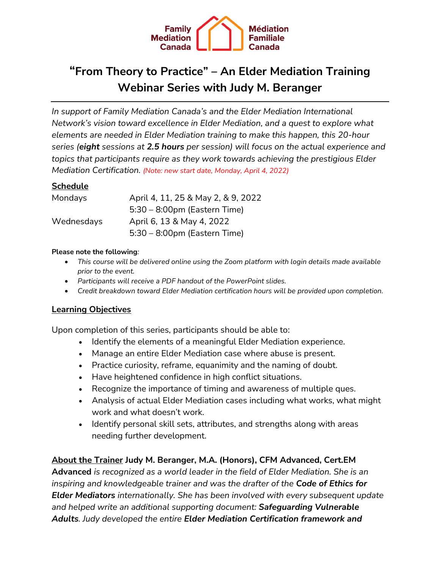

# **"From Theory to Practice" – An Elder Mediation Training Webinar Series with Judy M. Beranger**

*In support of Family Mediation Canada's and the Elder Mediation International Network's vision toward excellence in Elder Mediation, and a quest to explore what elements are needed in Elder Mediation training to make this happen, this 20-hour series (eight sessions at 2.5 hours per session) will focus on the actual experience and topics that participants require as they work towards achieving the prestigious Elder Mediation Certification. (Note: new start date, Monday, April 4, 2022)*

## **Schedule**

| Mondays    | April 4, 11, 25 & May 2, & 9, 2022 |
|------------|------------------------------------|
|            | $5:30 - 8:00$ pm (Eastern Time)    |
| Wednesdays | April 6, 13 & May 4, 2022          |
|            | $5:30 - 8:00$ pm (Eastern Time)    |

#### **Please note the following***:*

- *This course will be delivered online using the Zoom platform with login details made available prior to the event.*
- *Participants will receive a PDF handout of the PowerPoint slides.*
- *Credit breakdown toward Elder Mediation certification hours will be provided upon completion.*

### **Learning Objectives**

Upon completion of this series, participants should be able to:

- Identify the elements of a meaningful Elder Mediation experience.
- Manage an entire Elder Mediation case where abuse is present.
- Practice curiosity, reframe, equanimity and the naming of doubt.
- Have heightened confidence in high conflict situations.
- Recognize the importance of timing and awareness of multiple ques.
- Analysis of actual Elder Mediation cases including what works, what might work and what doesn't work.
- Identify personal skill sets, attributes, and strengths along with areas needing further development.

## **About the Trainer Judy M. Beranger, M.A. (Honors), CFM Advanced, Cert.EM**

**Advanced** *is recognized as a world leader in the field of Elder Mediation. She is an inspiring and knowledgeable trainer and was the drafter of the Code of Ethics for Elder Mediators internationally. She has been involved with every subsequent update and helped write an additional supporting document: Safeguarding Vulnerable Adults. Judy developed the entire Elder Mediation Certification framework and*